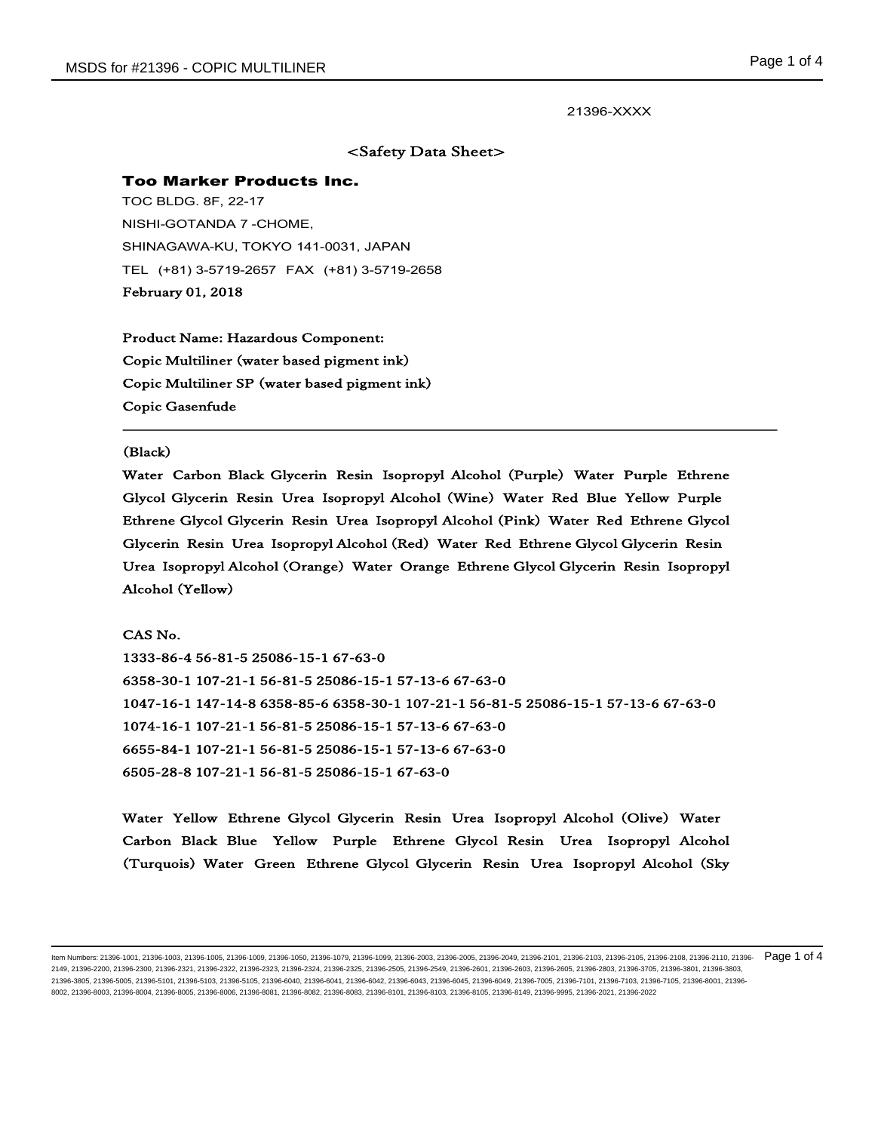l,

## 21396-XXXX

# <Safety Data Sheet>

### Too Marker Products Inc.

TOC BLDG. 8F, 22-17 NISHI-GOTANDA 7 -CHOME, SHINAGAWA-KU, TOKYO 141-0031, JAPAN TEL (+81) 3-5719-2657 FAX (+81) 3-5719-2658 February 01, 2018

Product Name: Hazardous Component: Copic Multiliner (water based pigment ink) Copic Multiliner SP (water based pigment ink) Copic Gasenfude

#### (Black)

Water Carbon Black Glycerin Resin Isopropyl Alcohol (Purple) Water Purple Ethrene Glycol Glycerin Resin Urea Isopropyl Alcohol (Wine) Water Red Blue Yellow Purple Ethrene Glycol Glycerin Resin Urea Isopropyl Alcohol (Pink) Water Red Ethrene Glycol Glycerin Resin Urea Isopropyl Alcohol (Red) Water Red Ethrene Glycol Glycerin Resin Urea Isopropyl Alcohol (Orange) Water Orange Ethrene Glycol Glycerin Resin Isopropyl Alcohol (Yellow)

CAS No. 1333-86-4 56-81-5 25086-15-1 67-63-0 6358-30-1 107-21-1 56-81-5 25086-15-1 57-13-6 67-63-0 1047-16-1 147-14-8 6358-85-6 6358-30-1 107-21-1 56-81-5 25086-15-1 57-13-6 67-63-0 1074-16-1 107-21-1 56-81-5 25086-15-1 57-13-6 67-63-0 6655-84-1 107-21-1 56-81-5 25086-15-1 57-13-6 67-63-0 6505-28-8 107-21-1 56-81-5 25086-15-1 67-63-0

Water Yellow Ethrene Glycol Glycerin Resin Urea Isopropyl Alcohol (Olive) Water Carbon Black Blue Yellow Purple Ethrene Glycol Resin Urea Isopropyl Alcohol (Turquois) Water Green Ethrene Glycol Glycerin Resin Urea Isopropyl Alcohol (Sky

ltem Numbers: 21396-1001, 21396-1003, 21396-1005, 21396-1009, 21396-1079, 21396-1079, 21396-2003, 21396-2005, 21396-2009, 21396-2101, 21396-2103, 21396-2108, 21396-2108, 21396-2108, 21396-2108, 21396-2108, 21396-2108, 2139 2149, 21396-2200, 21396-2300, 21396-2321, 21396-2322, 21396-2323, 21396-2324, 21396-2505, 21396-2505, 21396-2549, 21396-2601, 21396-2603, 21396-2605, 21396-2605, 21396-2803, 21396-2803, 21396-2803, 21396-3803, 21396-3803, 2 21396-3805, 21396-5005, 21396-5101, 21396-5103, 21396-5105, 21396-6040, 21396-6041, 21396-6042, 21396-6043, 21396-6045, 21396-6049, 21396-7005, 21396-7101, 21396-7103, 21396-7105, 21396-8001, 21396- 8002, 21396-8003, 21396-8004, 21396-8005, 21396-8006, 21396-8081, 21396-8082, 21396-8083, 21396-8101, 21396-8103, 21396-8105, 21396-8149, 21396-9995, 21396-2021, 21396-2022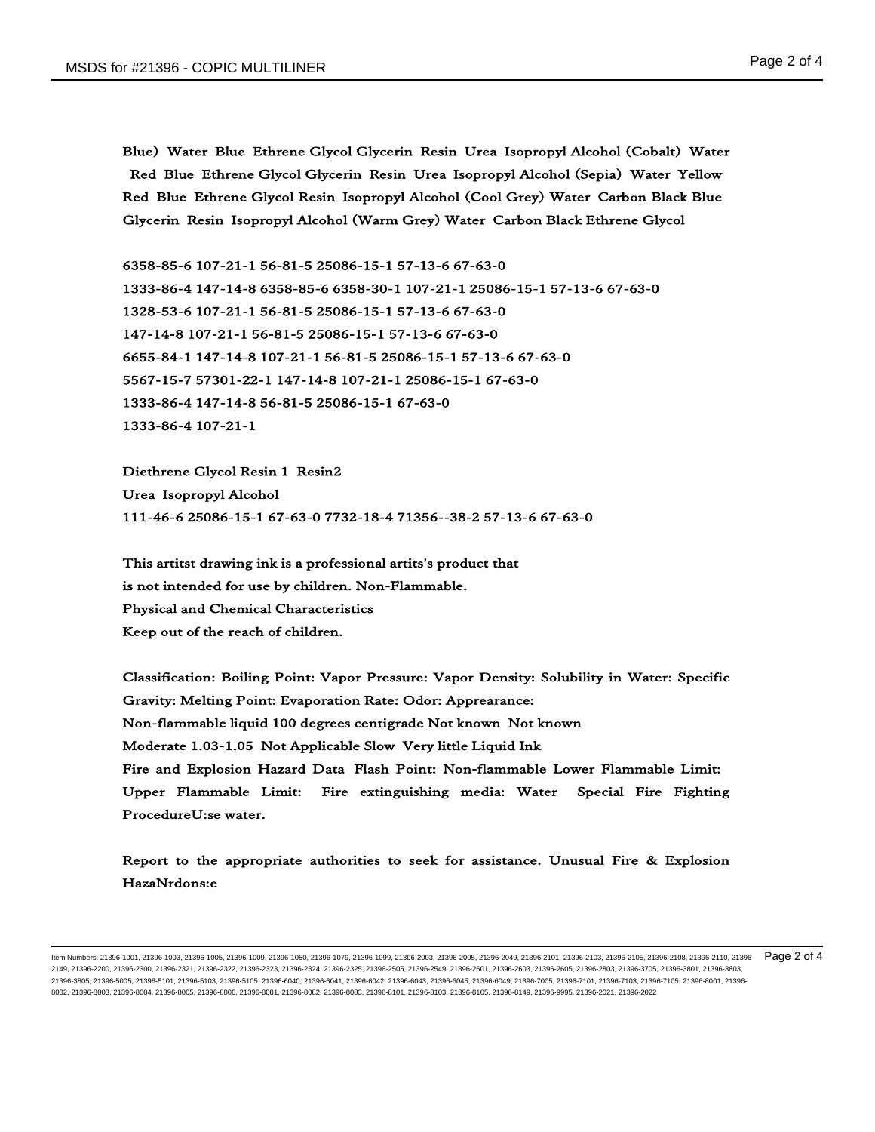Blue) Water Blue Ethrene Glycol Glycerin Resin Urea Isopropyl Alcohol (Cobalt) Water Red Blue Ethrene Glycol Glycerin Resin Urea Isopropyl Alcohol (Sepia) Water Yellow Red Blue Ethrene Glycol Resin Isopropyl Alcohol (Cool Grey) Water Carbon Black Blue Glycerin Resin Isopropyl Alcohol (Warm Grey) Water Carbon Black Ethrene Glycol

6358-85-6 107-21-1 56-81-5 25086-15-1 57-13-6 67-63-0 1333-86-4 147-14-8 6358-85-6 6358-30-1 107-21-1 25086-15-1 57-13-6 67-63-0 1328-53-6 107-21-1 56-81-5 25086-15-1 57-13-6 67-63-0 147-14-8 107-21-1 56-81-5 25086-15-1 57-13-6 67-63-0 6655-84-1 147-14-8 107-21-1 56-81-5 25086-15-1 57-13-6 67-63-0 5567-15-7 57301-22-1 147-14-8 107-21-1 25086-15-1 67-63-0 1333-86-4 147-14-8 56-81-5 25086-15-1 67-63-0 1333-86-4 107-21-1

Diethrene Glycol Resin 1 Resin2 Urea Isopropyl Alcohol 111-46-6 25086-15-1 67-63-0 7732-18-4 71356--38-2 57-13-6 67-63-0

This artitst drawing ink is a professional artits's product that is not intended for use by children. Non-Flammable. Physical and Chemical Characteristics Keep out of the reach of children.

Classification: Boiling Point: Vapor Pressure: Vapor Density: Solubility in Water: Specific Gravity: Melting Point: Evaporation Rate: Odor: Apprearance: Non-flammable liquid 100 degrees centigrade Not known Not known Moderate 1.03-1.05 Not Applicable Slow Very little Liquid Ink Fire and Explosion Hazard Data Flash Point: Non-flammable Lower Flammable Limit: Upper Flammable Limit: Fire extinguishing media: Water Special Fire Fighting ProcedureU:se water.

Report to the appropriate authorities to seek for assistance. Unusual Fire & Explosion HazaNrdons:e

ltem Numbers: 21396-1001, 21396-1003, 21396-1005, 21396-1009, 21396-1079, 21396-1079, 21396-2003, 21396-2005, 21396-2009, 21396-2101, 21396-2103, 21396-2108, 21396-2108, 21396-2108, 21396-2108, 21396-2108, 21396-2108, 2139 2149, 21396-2200, 21396-2300, 21396-2321, 21396-2322, 21396-2323, 21396-2324, 21396-2505, 21396-2505, 21396-2549, 21396-2601, 21396-2603, 21396-2605, 21396-2605, 21396-2803, 21396-2803, 21396-2803, 21396-3803, 21396-3803, 2 21396-3805, 21396-5005, 21396-5101, 21396-5103, 21396-5105, 21396-6040, 21396-6041, 21396-6042, 21396-6043, 21396-6045, 21396-6049, 21396-7005, 21396-7101, 21396-7103, 21396-7105, 21396-8001, 21396- 8002, 21396-8003, 21396-8004, 21396-8005, 21396-8006, 21396-8081, 21396-8082, 21396-8083, 21396-8101, 21396-8103, 21396-8105, 21396-8149, 21396-9995, 21396-2021, 21396-2022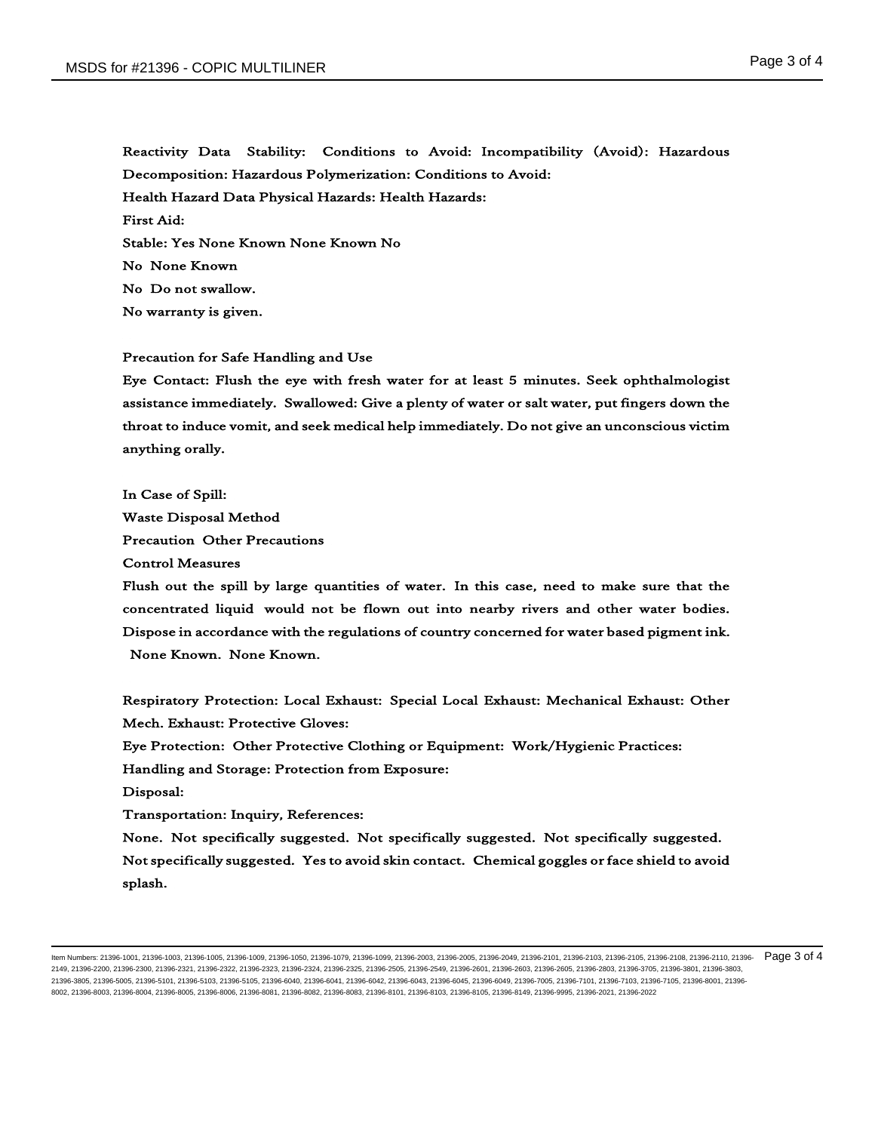Reactivity Data Stability: Conditions to Avoid: Incompatibility (Avoid): Hazardous Decomposition: Hazardous Polymerization: Conditions to Avoid: Health Hazard Data Physical Hazards: Health Hazards: First Aid: Stable: Yes None Known None Known No No None Known No Do not swallow. No warranty is given.

## Precaution for Safe Handling and Use

Eye Contact: Flush the eye with fresh water for at least 5 minutes. Seek ophthalmologist assistance immediately. Swallowed: Give a plenty of water or salt water, put fingers down the throat to induce vomit, and seek medical help immediately. Do not give an unconscious victim anything orally.

In Case of Spill: Waste Disposal Method Precaution Other Precautions Control Measures

Flush out the spill by large quantities of water. In this case, need to make sure that the concentrated liquid would not be flown out into nearby rivers and other water bodies. Dispose in accordance with the regulations of country concerned for water based pigment ink. None Known. None Known.

Respiratory Protection: Local Exhaust: Special Local Exhaust: Mechanical Exhaust: Other Mech. Exhaust: Protective Gloves:

Eye Protection: Other Protective Clothing or Equipment: Work/Hygienic Practices:

Handling and Storage: Protection from Exposure:

Disposal:

Transportation: Inquiry, References:

None. Not specifically suggested. Not specifically suggested. Not specifically suggested. Not specifically suggested. Yes to avoid skin contact. Chemical goggles or face shield to avoid splash.

ltem Numbers: 21396-1001, 21396-1003, 21396-1005, 21396-1009, 21396-1079, 21396-1079, 21396-2003, 21396-2005, 21396-2009, 21396-2101, 21396-2103, 21396-2108, 21396-2108, 21396-2108, 21396-2108, 21396-2108, 21396-2108, 2139 2149, 21396-2200, 21396-2300, 21396-2321, 21396-2322, 21396-2323, 21396-2324, 21396-2505, 21396-2505, 21396-2549, 21396-2601, 21396-2603, 21396-2605, 21396-2605, 21396-2803, 21396-2803, 21396-2803, 21396-3803, 21396-3803, 2 21396-3805, 21396-5005, 21396-5101, 21396-5103, 21396-5105, 21396-6040, 21396-6041, 21396-6042, 21396-6043, 21396-6045, 21396-6049, 21396-7005, 21396-7101, 21396-7103, 21396-7105, 21396-8001, 21396- 8002, 21396-8003, 21396-8004, 21396-8005, 21396-8006, 21396-8081, 21396-8082, 21396-8083, 21396-8101, 21396-8103, 21396-8105, 21396-8149, 21396-9995, 21396-2021, 21396-2022